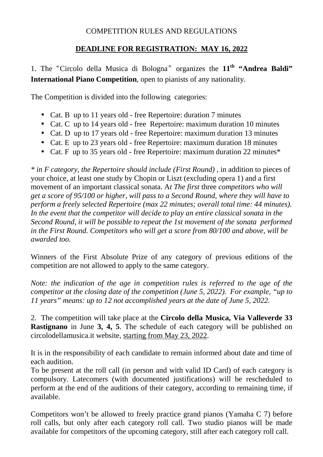## COMPETITION RULES AND REGULATIONS

# **DEADLINE FOR REGISTRATION: MAY 16, 2022**

1. The "Circolo della Musica di Bologna " organizes the **11th "Andrea Baldi" International Piano Competition**, open to pianists of any nationality.

The Competition is divided into the following categories:

- Cat. B up to 11 years old free Repertoire: duration 7 minutes
- Cat. C up to 14 years old free Repertoire: maximum duration 10 minutes
- Cat. D up to 17 years old free Repertoire: maximum duration 13 minutes
- Cat. E up to 23 years old free Repertoire: maximum duration 18 minutes
- Cat. F up to 35 years old free Repertoire: maximum duration 22 minutes\*

*\* in F category, the Repertoire should include (First Round)* , in addition to pieces of your choice, at least one study by Chopin or Liszt (excluding opera 1) and a first movement of an important classical sonata. A*t The first* three *competitors who will get a score of 95/100 or higher, will pass to a Second Round, where they will have to perform a freely selected Repertoire (max 22 minutes; overall total time: 44 minutes). In the event that the competitor will decide to play an entire classical sonata in the Second Round, it will be possible to repeat the 1st movement of the sonata performed in the First Round. Competitors who will get a score from 80/100 and above, will be awarded too.*

Winners of the First Absolute Prize of any category of previous editions of the competition are not allowed to apply to the same category.

*Note: the indication of the age in competition rules is referred to the age of the competitor at the closing date of the competition (June 5, 2022). For example, "up to 11 years" means: up to 12 not accomplished years at the date of June 5, 2022.*

2. The competition will take place at the **Circolo della Musica, Via Valleverde 33 Rastignano** in June 3, 4, 5. The schedule of each category will be published on circolodellamusica.it website, starting from May 23, 2022.

It is in the responsibility of each candidate to remain informed about date and time of each audition.

To be present at the roll call (in person and with valid ID Card) of each category is compulsory. Latecomers (with documented justifications) will be rescheduled to perform at the end of the auditions of their category, according to remaining time, if available.

Competitors won't be allowed to freely practice grand pianos (Yamaha C 7) before roll calls, but only after each category roll call. Two studio pianos will be made available for competitors of the upcoming category, still after each category roll call.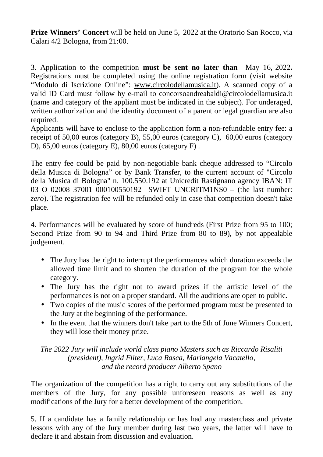**Prize Winners' Concert** will be held on June 5, 2022 at the Oratorio San Rocco, via Calari 4/2 Bologna, from 21:00.

3. Application to the competition **must be sent no later than** May 16, 2022**.**  Registrations must be completed using the online registration form (visit website "Modulo di Iscrizione Online": www.circolodellamusica.it). A scanned copy of a valid ID Card must follow by e-mail to concorsoandreabaldi@circolodellamusica.it (name and category of the appliant must be indicated in the subject). For underaged, written authorization and the identity document of a parent or legal guardian are also required.

Applicants will have to enclose to the application form a non-refundable entry fee: a receipt of 50,00 euros (category B), 55,00 euros (category C), 60,00 euros (category D), 65,00 euros (category E), 80,00 euros (category F) .

The entry fee could be paid by non-negotiable bank cheque addressed to "Circolo della Musica di Bologna" or by Bank Transfer, to the current account of "Circolo della Musica di Bologna" n. 100.550.192 at Unicredit Rastignano agency IBAN: IT 03 O 02008 37001 000100550192 SWIFT UNCRITM1NS0 – (the last number: *zero*). The registration fee will be refunded only in case that competition doesn't take place.

4. Performances will be evaluated by score of hundreds (First Prize from 95 to 100; Second Prize from 90 to 94 and Third Prize from 80 to 89), by not appealable judgement.

- The Jury has the right to interrupt the performances which duration exceeds the allowed time limit and to shorten the duration of the program for the whole category.
- The Jury has the right not to award prizes if the artistic level of the performances is not on a proper standard. All the auditions are open to public.
- Two copies of the music scores of the performed program must be presented to the Jury at the beginning of the performance.
- In the event that the winners don't take part to the 5th of June Winners Concert, they will lose their money prize.

#### *The 2022 Jury will include world class piano Masters such as Riccardo Risaliti (president), Ingrid Fliter, Luca Rasca, Mariangela Vacatello, and the record producer Alberto Spano*

The organization of the competition has a right to carry out any substitutions of the members of the Jury, for any possible unforeseen reasons as well as any modifications of the Jury for a better development of the competition.

5. If a candidate has a family relationship or has had any masterclass and private lessons with any of the Jury member during last two years, the latter will have to declare it and abstain from discussion and evaluation.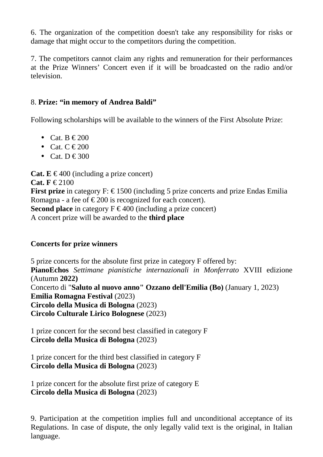6. The organization of the competition doesn't take any responsibility for risks or damage that might occur to the competitors during the competition.

7. The competitors cannot claim any rights and remuneration for their performances at the Prize Winners' Concert even if it will be broadcasted on the radio and/or television.

### 8. **Prize: "in memory of Andrea Baldi"**

Following scholarships will be available to the winners of the First Absolute Prize:

- Cat.  $B \in 200$
- Cat.  $C \in 200$
- Cat. D  $\in$  300

**Cat.**  $E \n\in 400$  (including a prize concert) **Cat. F** € 2100 **First prize** in category F:  $\epsilon$  1500 (including 5 prize concerts and prize Endas Emilia Romagna - a fee of  $\epsilon$  200 is recognized for each concert). **Second place** in category  $F \in 400$  (including a prize concert) A concert prize will be awarded to the **third place**

### **Concerts for prize winners**

5 prize concerts for the absolute first prize in category F offered by: **PianoEchos** *Settimane pianistiche internazionali in Monferrato* XVIII edizione (Autumn **2022)** Concerto di "**Saluto al nuovo anno" Ozzano dell'Emilia (Bo)** (January 1, 2023) **Emilia Romagna Festival** (2023) **Circolo della Musica di Bologna** (2023) **Circolo Culturale Lirico Bolognese** (2023)

1 prize concert for the second best classified in category F **Circolo della Musica di Bologna** (2023)

1 prize concert for the third best classified in category F **Circolo della Musica di Bologna** (2023)

1 prize concert for the absolute first prize of category E **Circolo della Musica di Bologna** (2023)

9. Participation at the competition implies full and unconditional acceptance of its Regulations. In case of dispute, the only legally valid text is the original, in Italian language.